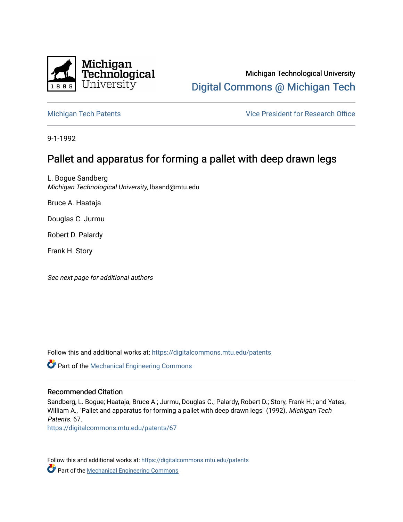

Michigan Technological University [Digital Commons @ Michigan Tech](https://digitalcommons.mtu.edu/) 

[Michigan Tech Patents](https://digitalcommons.mtu.edu/patents) **Vice President for Research Office** 

9-1-1992

# Pallet and apparatus for forming a pallet with deep drawn legs

L. Bogue Sandberg Michigan Technological University, lbsand@mtu.edu

Bruce A. Haataja

Douglas C. Jurmu

Robert D. Palardy

Frank H. Story

See next page for additional authors

Follow this and additional works at: [https://digitalcommons.mtu.edu/patents](https://digitalcommons.mtu.edu/patents?utm_source=digitalcommons.mtu.edu%2Fpatents%2F67&utm_medium=PDF&utm_campaign=PDFCoverPages)

Part of the [Mechanical Engineering Commons](http://network.bepress.com/hgg/discipline/293?utm_source=digitalcommons.mtu.edu%2Fpatents%2F67&utm_medium=PDF&utm_campaign=PDFCoverPages) 

## Recommended Citation

Sandberg, L. Bogue; Haataja, Bruce A.; Jurmu, Douglas C.; Palardy, Robert D.; Story, Frank H.; and Yates, William A., "Pallet and apparatus for forming a pallet with deep drawn legs" (1992). Michigan Tech Patents. 67.

[https://digitalcommons.mtu.edu/patents/67](https://digitalcommons.mtu.edu/patents/67?utm_source=digitalcommons.mtu.edu%2Fpatents%2F67&utm_medium=PDF&utm_campaign=PDFCoverPages) 

Follow this and additional works at: [https://digitalcommons.mtu.edu/patents](https://digitalcommons.mtu.edu/patents?utm_source=digitalcommons.mtu.edu%2Fpatents%2F67&utm_medium=PDF&utm_campaign=PDFCoverPages) **C** Part of the [Mechanical Engineering Commons](http://network.bepress.com/hgg/discipline/293?utm_source=digitalcommons.mtu.edu%2Fpatents%2F67&utm_medium=PDF&utm_campaign=PDFCoverPages)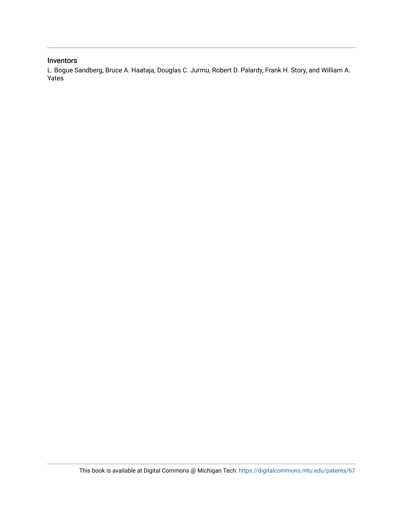## Inventors

L. Bogue Sandberg, Bruce A. Haataja, Douglas C. Jurmu, Robert D. Palardy, Frank H. Story, and William A. Yates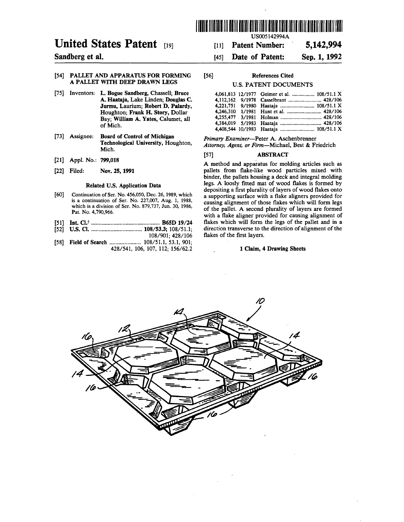

**Patent Number: 5,142,994 Date of Patent: Sep. 1,1992**

## **United States Patent [19]**

### **Sandberg et al.**

#### [54] PALLET AND APPARATUS FOR FORMING [56] A PALLET WITH DEEP DRAWN LEGS

- [75] Inventors: L. Bogue Sandberg, Chassell; Bruce A. Haataja, Lake Linden; Douglas C. Jurmu, Laurium; Robert D. Palardy, Houghton; Frank H. Story, Dollar Bay; William A. Yates, Calumet, all of Mich.
- [73] Assignee: Board of Control of Michigan Technological University, Houghton, Mich.
- [21] Appl. No.: **799,018**
- [22] Filed: Nov. 25,1991

#### Related U.S. Application Data

- [60] Continuation of Ser. No. 456,050, Dec. 26, 1989, which is a continuation of Ser. No. 227,007, Aug. 1, 1988, which is a division of Ser. No. 879,737, Jun. 30, 1986, Pat. No. 4,790,966.
- [51] Int. Cl.\*...................... ......................B65D 19/24
- [52] **u.s. a ..................** .......... 108/53.3; 108/51.1; 108/901; 428/106
- [58] Field of Search ........................... 108/51.1, 53.1, 901; 428/541, 106, 107, 112; 156/62.2

#### References Cited

**[ii]** [45]

#### U.S. PATENT DOCUMENTS

|  | 4,061,813 12/1977 Geimer et al.  108/51.1 X |
|--|---------------------------------------------|
|  | 4.112.162 9/1978 Casselbrant  428/106       |
|  |                                             |
|  |                                             |
|  |                                             |
|  |                                             |
|  |                                             |
|  |                                             |

*Primary Examiner*—Peter A. Aschenbrenner *Attorney, Agent, or Firm*—Michael, Best & Friedrich

#### [57] ABSTRACT

A method and apparatus for molding articles such as pallets from flake-like wood particles mixed with binder, the pallets housing a deck and integral molding legs. A loosly fitted mat of wood flakes is formed by depositing a first plurality of layers of wood flakes onto a supporting surface with a flake aligners provided for causing alignment of those flakes which will form legs of the pallet. A second plurality of layers are formed with a flake aligner provided for causing alignment of flakes which will form the legs of the pallet and in a direction transverse to the direction of alignment of the flakes of the first layers.

#### 1 Claim, 4 Drawing Sheets

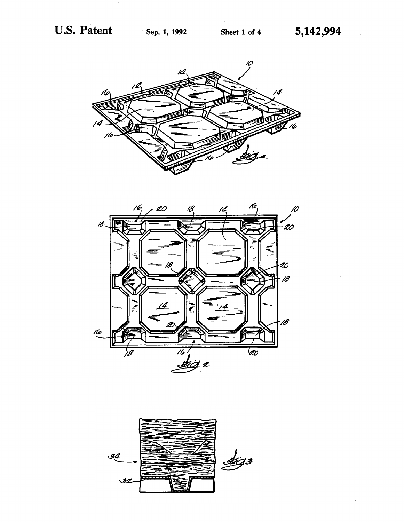





 $\hat{\boldsymbol{\beta}}$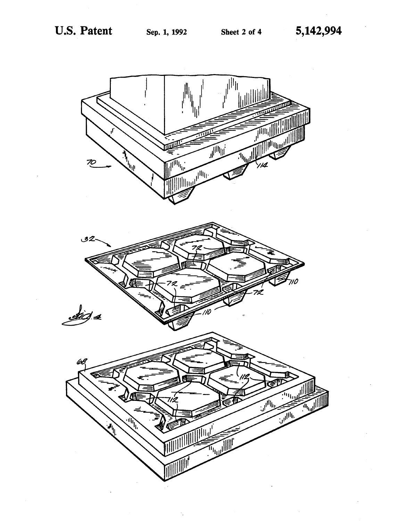

 $\cdot$  .

 $\hat{\mathcal{L}}$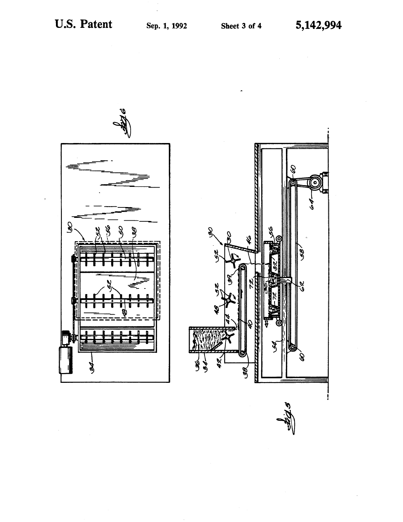စ



ł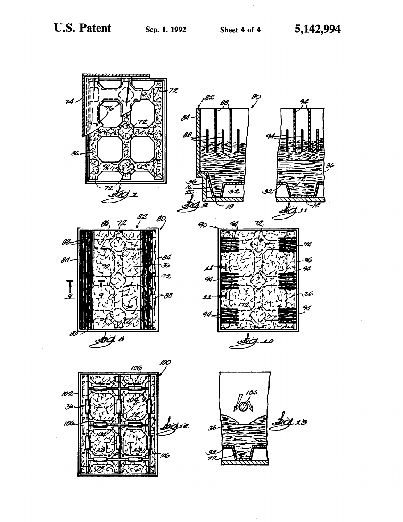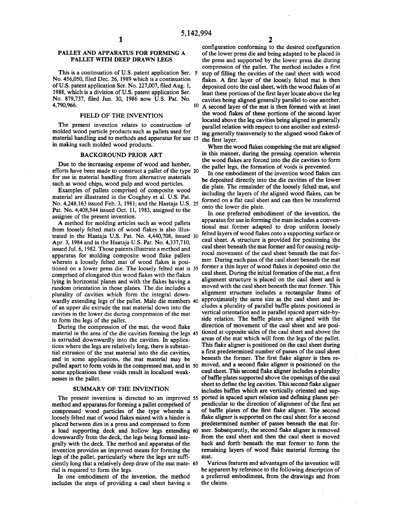#### PALLET AND APPARATUS FOR FORMING A PALLET WITH DEEP DRAWN LEGS

This is a continuation of U.S. patent application Ser. 5 No. 456,050, filed Dec. 26,1989 which is a continuation of U.S. patent application Ser. No. 227,007, filed Aug. 1, 1988, which is a division of U.S. patent application Ser. No. 879,737, filed Jun. 30, 1986 now U.S. Pat. No. 4,790,966.

#### FIELD OF THE INVENTION

The present invention relates to construction of molded wood particle products such as pallets used for material handling and to methods and apparatus for use 15 in making such molded wood products.

#### BACKGROUND PRIOR ART

Due to the increasing expense of wood and lumber, efforts have been made to construct a pallet of the type 20 for use in material handling from alternative materials such as wood chips, wood pulp and wood particles.

Examples of pallets comprised of composite wood material are illustrated in the Coughey et al. U.S. Pat. No. 4,248,163 issued Feb. 3, 1981; and the Haataja U.S. 25 Pat. No. 4,408,544 issued Oct. 11, 1983, assigned to the assignee of the present invention.

A method for molding articles such as wood pallets from loosely felted mats of wood flakes is also illustrated in the Haataja U.S. Pat. No. 4,440,708, issued 30 Apr. 3, 1984 and in the Haataja U.S. Pat. No. 4,337,710, issued Jul. 6,1982. Those patents illustrate a method and apparatus for molding composite wood flake pallets wherein a loosely felted mat of wood flakes is positioned on a lower press die. The loosely felted mat is former a thin layer of wood flakes is deposited onto the 35 comprised of elongated thin wood flakes with the flakes lying in horizontal planes and with the flakes having a random orientation in those planes. The die includes a plurality of cavities which form the integral downwardly extending legs of the pallet. Male die members 40 of an upper die extrude the mat material down into the cavities in the lower die during compression of the mat to form the legs of the pallet.

During the compression of the mat, the wood flake material in the area of the die cavities forming the legs 45 is extruded downwardly into the cavities. In applications where the legs are relatively long, there is substantial extrusion of the mat material into the die cavities, and in some applications, the mat material may be pulled apart to form voids in the compressed mat, and in 50 moved, and a second flake aligner is positioned on the some applications these voids result in localized weaknesses in the pallet.

#### SUMMARY OF THE INVENTION

The present invention is directed to an improved 55 method and apparatus for forming a pallet comprised of compressed wood particles of the type wherein a loosely felted mat of wood flakes mixed with a binder is placed between dies in a press and compressed to form a load supporting deck and hollow legs extending 60 mer. Subsequently, the second flake aligner is removed downwardly from the deck, the legs being formed integrally with the deck. The method and apparatus of the invention provides an improved means for forming the legs of the pallet, particularly where the legs are sufficiently long that a relatively deep draw of the mat mate-65rial is required to form the legs.

In one embodiment of the invention, the method includes the steps of providing a caul sheet having a

configuration conforming to the desired configuration of the lower press die and being adapted to be placed in the press and supported by the lower press die during compression of the pallet. The method includes a first step of filling the cavities of the caul sheet with wood flakes. A first layer of the loosely felted mat is then deposited onto the caul sheet, with the wood flakes of at least these portions of the first layer locate above the leg cavities being aligned generally parallel to one another.  $10$  A second layer of the mat is then formed with at least the wood flakes of these portions of the second layer located above the leg cavities being aligned in generally

parallel relation with respect to one another and extending generally transversely to the aligned wood flakes of the first layer.

When the wood flakes comprising the mat are aligned in this manner, during the pressing operation wherein the wood flakes are forced into the die cavities to form the pallet legs, the formation of voids is prevented.

In one embodiment of the invention wood flakes can be deposited directly into the die cavities of the lower die plate. The remainder of the loosely felted mat, and including the layers of the aligned wood flakes, can be formed on a flat caul sheet and can then be transferred onto the lower die plate.

In one preferred embodiment of the invention, the apparatus for use in forming the mats includes a conventional mat former adapted to drop uniform loosely felted layers of wood flakes onto a supporting surface or caul sheet. A structure is provided for positioning the caul sheet beneath the mat former and for causing reciprocal movement of the caul sheet beneath the mat former. During each pass of the caul sheet beneath the mat caul sheet. During the initial formation of the mat, a first alignment structure is placed on the caul sheet and is moved with the caul sheet beneath the mat former. This alignment structure includes a rectangular frame of approximately the same size as the caul sheet and includes a plurality of parallel baffle plates positioned in vertical orientation and in parallel spaced apart side-byside relation. The baffle plates are aligned with the direction of movement of the caul sheet and are positioned at opposite sides of the caul sheet and above the areas of the mat which will form the legs of the pallet. This flake aligner is positioned on the caul sheet during a first predetermined number of passes of the caul sheet beneath the former. The first flake aligner is then recaul sheet. This second flake aligner includes a plurality of baffle plates supported above the openings of the caul sheet to define the leg cavities. This second flake aligner includes baffles which are vertically oriented and supported in spaced apart relation and defining planes perpendicular to the direction of alignment of the first set of baffle plates of the first flake aligner. The second flake aligner is supported on the caul sheet for a second predetermined number of passes beneath the mat forfrom the caul sheet and then the caul sheet is moved back and forth beneath the mat former to form the remaining layers of wood flake material forming the mat.

Various features and advantages of the invention will be apparent by reference to the following description of a preferred embodiment, from the drawings and from the claims.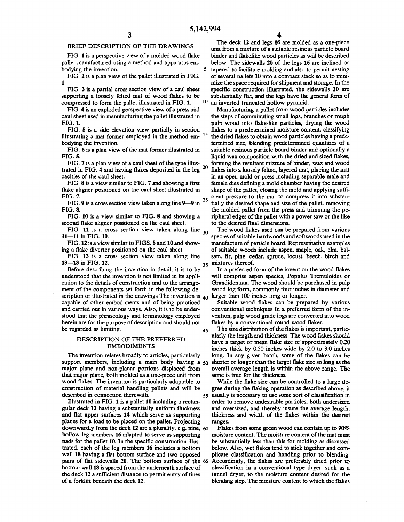#### BRIEF DESCRIPTION OF THE DRAWINGS

FIG. 1 is a perspective view of a molded wood flake pallet manufactured using a method and apparatus embodying the invention. 5

FIG. 2 is a plan view of the pallet illustrated in FIG. **1**.

FIG. 3 is a partial cross section view of a caul sheet supporting a loosely felted mat of wood flakes to be compressed to form the pallet illustrated in FIG. 1. 10

FIG. 4 is an exploded perspective view of a press and caul sheet used in manufacturing the pallet illustrated in FIG. 1.

FIG. 5 is a side elevation view partially in section illustrating a mat former employed in the method em-<sup>15</sup> bodying the invention.

FIG. 6 is a plan view of the mat former illustrated in FIG. 5.

FIG. 7 is a plan view of a caul sheet of the type illustrated in FIG. 4 and having flakes deposited in the leg cacities of the caul sheet. 20

FIG. 8 is a view similar to FIG. 7 and showing a first flake aligner positioned on the caul sheet illustrated in FIG. 7.

FIG. 9 is a cross section view taken along line 9—9 in FIG. 8. 25

FIG. 10 is a view similar to FIG. 8 and showing a second flake aligner positioned on the caul sheet.

FIG. 11 is a cross section view taken along line  $_{30}$ <br>11 is FIG 10 11—11 in FIG. 10.

FIG. 12 is a view similar to FIGS. 8 and 10 and showing a flake diverter positioned on the caul sheet.

FIG. 13 is a cross section view taken along line 13—13 in FIG. 12. 35

Before describing the invention in detail, it is to be understood that the invention is not limited in its application to the details of construction and to the arrangement of the components set forth in the following description or illustrated in the drawings The invention is  $_{40}$  larger than 100 inches long or longer. capable of other embodiments and of being practiced and carried out in various ways. Also, it is to be understood that the phraseology and terminology employed herein are for the purpose of description and should not be regarded as limiting. 45

#### DESCRIPTION OF THE PREFERRED EMBODIMENTS

The invention relates broadly to articles, particularly support members, including a main body having a 50 major plane and non-planar portions displaced from that major plane, both molded as a one-piece unit from wood flakes. The invention is particularly adaptable to construction of material handling pallets and will be described in connection therewith.

Illustrated in FIG. 1 is a pallet 10 including a rectangular deck 12 having a substantially uniform thickness and flat upper surfaces 14 which serve as supporting planes for a load to be placed on the pallet. Projecting downwardly from the deck 12 are a plurality, e g. nine, 60 hollow leg members 16 adapted to serve as supporting pads for the pallet 10. In the specific construction illustrated, each of the leg members 16 includes a bottom wall 18 having a flat bottom surface and two opposed pairs of flat sidewalls 20. The bottom surface of the Accordingly, the flakes are preferably dried prior to 65bottom wall 18 is spaced from the underneath surface of the deck 12 a sufficient distance to permit entry of tines of a forklift beneath the deck 12.

The deck 12 and legs 16 are molded as a one-piece unit from a mixture of a suitable resinous particle board binder and flakelike wood particles as will be described below. The sidewalls 20 of the legs 16 are inclined or tapered to facilitate molding and also to permit nesting of several pallets 10 into a compact stack so as to minimize the space required for shipment and storage. In the specific construction illustrated, the sidewalls 20 are substantially flat, and the legs have the general form of an inverted truncated hollow pyramid.

Manufacturing a pallet from wood particles includes the steps of comminuting small logs, branches or rough pulp wood into flake-like particles, drying the wood flakes to a predetermined moisture content, classifying the dried flakes to obtain wood particles having a predetermined size, blending predetermined quantities of a suitable resinous particle board binder and optionally a liquid wax composition with the dried and sized flakes, forming the resultant mixture of binder, wax and wood flakes into a loosely felted, layered mat, placing the mat in an open mold or press including separable male and female dies defining a mold chamber having the desired shape of the pallet, closing the mold and applying sufficient pressure to the mat to compress it into substantially the desired shape and size of the pallet, removing the molded pallet from the press and trimming the peripheral edges of the pallet with a power saw or the like to the desired final dimensions.

The wood flakes used can be prepared from various species of suitable hardwoods and softwoods used in the manufacture of particle board. Representative examples of suitable woods include aspen, maple, oak, elm, balsam, fir, pine, cedar, spruce, locust, beech, birch and mixtures thereof.

In a preferred form of the invention the wood flakes will comprise aspen species, Populus Tremuloides or Grandidentata. The wood should be purchased in pulp wood log form, commonly four inches in diameter and

Suitable wood flakes can be prepared by various conventional techniques In a preferred form of the invention, pulp wood grade logs are converted into wood flakes by a conventional round wood flaker.

The size distribution of the flakes is important, particularly the length and thickness. The wood flakes should have a target or mean flake size of approximately 0.20 inches thick by 0.50 inches wide by 2.0 to 3.0 inches long. In any given batch, some of the flakes can be shorter or longer than the target flake size so long as the overall average length is within the above range. The same is true for the thickness.

While the flake size can be controlled to a large degree during the flaking operation as described above, it usually is necessary to use some sort of classification in 55 order to remove undesirable particles, both undersized and oversized, and thereby insure the average length, thickness and width of the flakes within the desired ranges.

Flakes from some green wood can contain up to 90% moisture content. The moisture content of the mat must be substantially less than this for molding as discussed below. Also, wet flakes tend to stick together and complicate classification and handling prior to blending. classification in a conventional type dryer, such as a tunnel dryer, to the moisture content desired for the blending step. The moisture content to which the flakes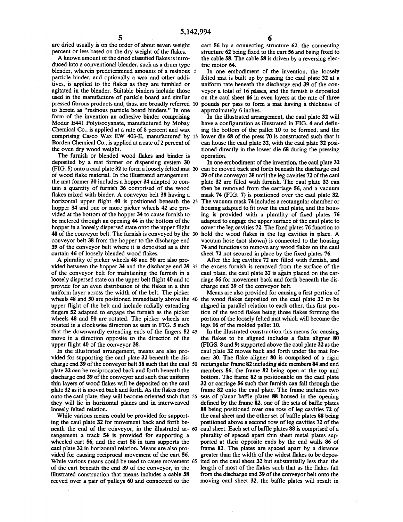are dried usually is on the order of about seven weight percent or less based on the dry weight of the flakes.

A known amount of the dried classified flakes is introduced into a conventional blender, such as a drum type blender, wherein predetermined amounts of a resinous 5 particle binder, and optionally a wax and other additives, is applied to the flakes as they are tumbled or agitated in the blender. Suitable binders include those used in the manufacture of particle board and similar pressed fibrous products and, thus, are broadly referred 10 to herein as "resinous particle board binders." In one form of the invention an adhesive binder comprising Modur E441 Polyisocyanate, manufactured by Mobay Chemical Co., is applied at a rate of 8 percent and wax comprising Casco Wax EW 403-E, manufactured by 15 Borden Chemical Co., is applied at a rate of 2 percent of the oven dry wood weight.

The furnish or blended wood flakes and binder is deposited by a mat former or dispensing system 30 (FIG. 5) onto a caul plate 32 to form a loosely felted mat 20 of wood flake material. In the illustrated arrangement, the mat former 30 includes a hopper 34 adapted to contain a quantity of furnish 36 comprised of the wood flakes mixed with binder. A conveyor belt 38 having a horizontal upper flight 40 is positioned beneath the 25 hopper 34 and one or more picker wheels 42 are provided at the bottom of the hopper 34 to cause furnish to be metered through an opening 44 in the bottom of the hopper in a loosely dispersed state onto the upper flight 40 of the conveyor belt. The furnish is conveyed by the 30 conveyor belt 38 from the hopper to the discharge end 39 of the conveyor belt where it is deposited as a thin curtain 46 of loosely blended wood flakes.

A plurality of picker wheels 48 and 50 are also provided between the hopper 34 and the discharge end 39 35 the excess furnish is removed from the surface of the of the conveyor belt for maintaining the furnish in a loosely dispersed state on the upper belt flight 40 and to provide for an even distribution of the flakes in a thin uniform layer across the width of the belt. The picker wheels 48 and 50 are positioned immediately above the 40 the wood flakes deposited on the caul plate 32 to be upper flight of the belt and include radially extending fingers 52 adapted to engage the furnish as the picker wheels 48 and 50 are rotated. The picker wheels are rotated in a clockwise direction as seen in FIG. 5 such that the downwardly extending ends of the fingers 52 45 move in a direction opposite to the direction of the upper flight 40 of the conveyor 38.

In the illustrated arrangement, means are also provided for supporting the caul plate 32 beneath the discharge end 39 of the conveyor belt 38 such that the caul 50 plate 32 can be reciprocated back and forth beneath the discharge end 39 of the conveyor and such that uniform thin layers of wood flakes will be deposited on the caul plate 32 as it is moved back and forth. As the flakes drop onto the caul plate, they will become oriented such that 55 they will lie in horizontal planes and in interweaved loosely felted relation.

While various means could be provided for supporting the caul plate 32 for movement back and forth beneath the end of the conveyor, in the illustrated ar-60 rangement a track 54 is provided for supporting a wheeled cart 56, and the cart 56 in turn supports the caul plate 32 in horizontal relation. Means are also provided for causing reciprocal movement of the cart 56. While various means could be used to cause movement 65of the cart beneath the end 39 of the conveyor, in the illustrated construction that means includes a cable 58 reeved over a pair of pulleys 60 and connected to the

cart 56 by a connecting structure 62, the connecting structure 62 being fixed to the cart 56 and being fixed to the cable 58. The cable 58 is driven by a reversing electric motor 64.

In one embodiment of the invention, the loosely felted mat is built up by passing the caul plate 32 at a uniform rate beneath the discharge end 39 of the conveyor a total of 16 passes, and the furnish is deposited on the caul sheet 16 in even layers at the rate of three pounds per pass to form a mat having a thickness of approximately 6 inches.

In the illustrated arrangement, the caul plate 32 will have a configuration as illustrated in FIG. 4 and defining the bottom of the pallet 10 to be formed, and the lower die 68 of the press 70 is constructed such that it can house the caul plate 32, with the caul plate 32 positioned directly in the lower die 68 during the pressing operation.

In one embodiment of the invention, the caul plate 32 can be moved back and forth beneath the discharge end 39 of the conveyor 38 until the leg cavities 72 of the caul plate 32 are filled with furnish. The caul plate 32 can then be removed from the carriage 56, and a vacuum mask 74 (FIG. 7) is positioned over the caul plate 32. The vacuum mask 74 includes a rectangular chamber or housing adapted to fit over the caul plate, and the housing is provided with a plurality of fixed plates 76 adapted to engage the upper surface of the caul plate to cover the leg cavities 72. The fixed plates 76 function to hold the wood flakes in the leg cavities in place. A vacuum hose (not shown) is connected to the housing 74 and functions to remove any wood flakes on the caul sheet 72 not secured in place by the fixed plates 76.

After the leg cavities 72 are filled with furnish, and caul plate, the caul plate 32 is again placed on the carriage 56 for movement back and forth beneath the discharge end 39 of the conveyor belt.

Means are also provided for causing a first portion of aligned in parallel relation to each other, this first portion of the wood flakes being those flakes forming the portion of the loosely felted mat which will become the legs 16 of the molded pallet 10.

In the illustrated construction this means for causing the flakes to be aligned includes a flake aligner 80 (FIGS. 8 and 9) supported above the caul plate 32 as the caul plate 32 moves back and forth under the mat former 30. The flake aligner 80 is comprised of a rigid rectangular frame 82 including side members 84 and end members 86, the frame 82 being open at the top and bottom. The frame 82 is positionable on the caul plate 32 or carriage 56 such that furnish can fall through the frame 82 onto the caul plate. The frame includes two sets of planar baffle plates 88 housed in the opening defined by the frame 82, one of the sets of baffle plates 88 being positioned over one row of leg cavities 72 of the caul sheet and the other set of baffle plates 88 being positioned above a second row of leg cavities 72 of the caul sheet. Each set of baffle plates 88 is comprised of a plurality of spaced apart thin sheet metal plates supported at their opposite ends by the end walls 86 of frame 82. The plates are spaced apart by a distance greater than the width of the widest flakes to be deposited on the caul sheet 32 but substantially less than the length of most of the flakes such that as the flakes fall from the discharge end 39 of the conveyor belt onto the moving caul sheet 32, the baffle plates will result in